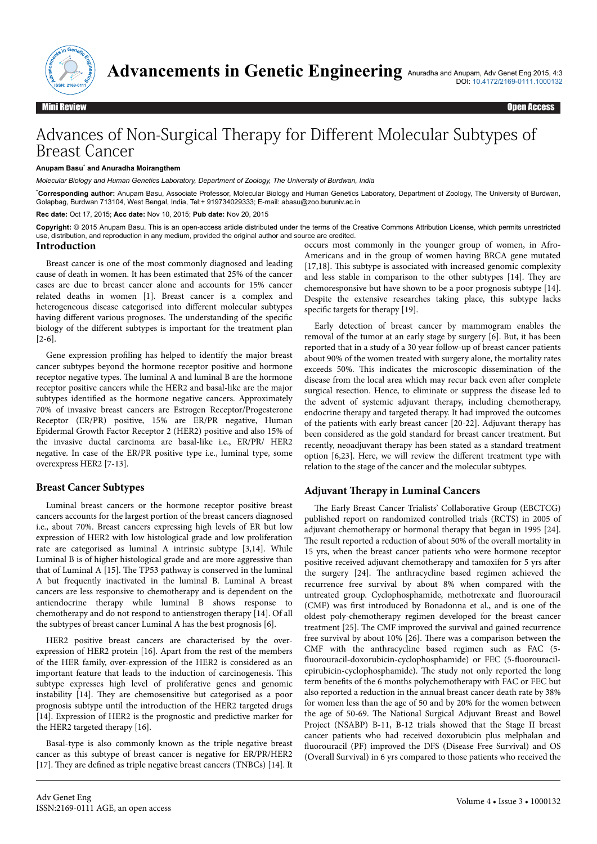

# Advances of Non-Surgical Therapy for Different Molecular Subtypes of Breast Cancer

#### **Anupam Basu**\*  **and Anuradha Moirangthem**

*Molecular Biology and Human Genetics Laboratory, Department of Zoology, The University of Burdwan, India*

\***Corresponding author:** Anupam Basu, Associate Professor, Molecular Biology and Human Genetics Laboratory, Department of Zoology, The University of Burdwan, Golapbag, Burdwan 713104, West Bengal, India, Tel:+ 919734029333; E-mail: abasu@zoo.buruniv.ac.in

**Rec date:** Oct 17, 2015; **Acc date:** Nov 10, 2015; **Pub date:** Nov 20, 2015

**Copyright:** © 2015 Anupam Basu. This is an open-access article distributed under the terms of the Creative Commons Attribution License, which permits unrestricted use, distribution, and reproduction in any medium, provided the original author and source are credited.

#### **Introduction**

Breast cancer is one of the most commonly diagnosed and leading cause of death in women. It has been estimated that 25% of the cancer cases are due to breast cancer alone and accounts for 15% cancer related deaths in women [1]. Breast cancer is a complex and heterogeneous disease categorised into different molecular subtypes having different various prognoses. The understanding of the specific biology of the different subtypes is important for the treatment plan [2-6].

Gene expression profiling has helped to identify the major breast cancer subtypes beyond the hormone receptor positive and hormone receptor negative types. Нe luminal A and luminal B are the hormone receptor positive cancers while the HER2 and basal-like are the major subtypes identified as the hormone negative cancers. Approximately 70% of invasive breast cancers are Estrogen Receptor/Progesterone Receptor (ER/PR) positive, 15% are ER/PR negative, Human Epidermal Growth Factor Receptor 2 (HER2) positive and also 15% of the invasive ductal carcinoma are basal-like i.e., ER/PR/ HER2 negative. In case of the ER/PR positive type i.e., luminal type, some overexpress HER2 [7-13].

#### **Breast Cancer Subtypes**

Luminal breast cancers or the hormone receptor positive breast cancers accounts for the largest portion of the breast cancers diagnosed i.e., about 70%. Breast cancers expressing high levels of ER but low expression of HER2 with low histological grade and low proliferation rate are categorised as luminal A intrinsic subtype [3,14]. While Luminal B is of higher histological grade and are more aggressive than that of Luminal A [15]. Нe TP53 pathway is conserved in the luminal A but frequently inactivated in the luminal B. Luminal A breast cancers are less responsive to chemotherapy and is dependent on the antiendocrine therapy while luminal B shows response to chemotherapy and do not respond to antienstrogen therapy [14]. Of all the subtypes of breast cancer Luminal A has the best prognosis [6].

HER2 positive breast cancers are characterised by the overexpression of HER2 protein [16]. Apart from the rest of the members of the HER family, over-expression of the HER2 is considered as an important feature that leads to the induction of carcinogenesis. Нis subtype expresses high level of proliferative genes and genomic instability [14]. Нey are chemosensitive but categorised as a poor prognosis subtype until the introduction of the HER2 targeted drugs [14]. Expression of HER2 is the prognostic and predictive marker for the HER2 targeted therapy [16].

Basal-type is also commonly known as the triple negative breast cancer as this subtype of breast cancer is negative for ER/PR/HER2 [17]. They are defined as triple negative breast cancers (TNBCs) [14]. It occurs most commonly in the younger group of women, in Afro-Americans and in the group of women having BRCA gene mutated [17,18]. This subtype is associated with increased genomic complexity and less stable in comparison to the other subtypes [14]. Нey are chemoresponsive but have shown to be a poor prognosis subtype [14]. Despite the extensive researches taking place, this subtype lacks specific targets for therapy [19].

Early detection of breast cancer by mammogram enables the removal of the tumor at an early stage by surgery [6]. But, it has been reported that in a study of a 30 year follow-up of breast cancer patients about 90% of the women treated with surgery alone, the mortality rates exceeds 50%. Нis indicates the microscopic dissemination of the disease from the local area which may recur back even after complete surgical resection. Hence, to eliminate or suppress the disease led to the advent of systemic adjuvant therapy, including chemotherapy, endocrine therapy and targeted therapy. It had improved the outcomes of the patients with early breast cancer [20-22]. Adjuvant therapy has been considered as the gold standard for breast cancer treatment. But recently, neoadjuvant therapy has been stated as a standard treatment option  $[6,23]$ . Here, we will review the different treatment type with relation to the stage of the cancer and the molecular subtypes.

#### **Adjuvant Therapy in Luminal Cancers**

The Early Breast Cancer Trialists' Collaborative Group (EBCTCG) published report on randomized controlled trials (RCTS) in 2005 of adjuvant chemotherapy or hormonal therapy that began in 1995 [24]. The result reported a reduction of about 50% of the overall mortality in 15 yrs, when the breast cancer patients who were hormone receptor positive received adjuvant chemotherapy and tamoxifen for 5 yrs after the surgery [24]. Нe anthracycline based regimen achieved the recurrence free survival by about 8% when compared with the untreated group. Cyclophosphamide, methotrexate and fluorouracil (CMF) was first introduced by Bonadonna et al., and is one of the oldest poly-chemotherapy regimen developed for the breast cancer treatment [25]. Нe CMF improved the survival and gained recurrence free survival by about 10% [26]. Нere was a comparison between the  $CMF$  with the anthracycline based regimen such as FAC  $(5$ fluorouracil-doxorubicin-cyclophosphamide) or FEC (5-fluorouracilepirubicin-cyclophosphamide). Нe study not only reported the long term benefits of the 6 months polychemotherapy with FAC or FEC but also reported a reduction in the annual breast cancer death rate by 38% for women less than the age of 50 and by 20% for the women between the age of 50-69. Нe National Surgical Adjuvant Breast and Bowel Project (NSABP) B-11, B-12 trials showed that the Stage II breast cancer patients who had received doxorubicin plus melphalan and fluorouracil (PF) improved the DFS (Disease Free Survival) and OS (Overall Survival) in 6 yrs compared to those patients who received the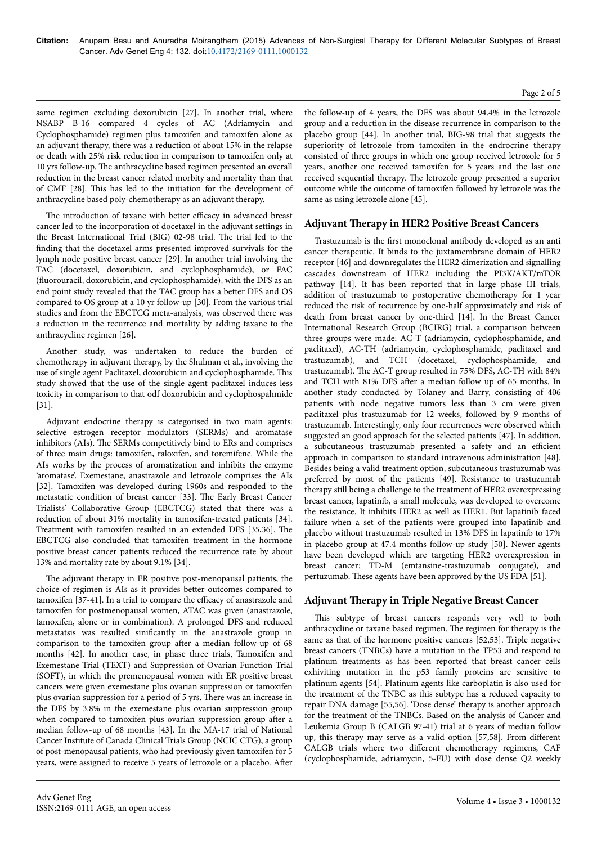same regimen excluding doxorubicin [27]. In another trial, where NSABP B-16 compared 4 cycles of AC (Adriamycin and Cyclophosphamide) regimen plus tamoxifen and tamoxifen alone as an adjuvant therapy, there was a reduction of about 15% in the relapse or death with 25% risk reduction in comparison to tamoxifen only at 10 yrs follow-up. Нe anthracycline based regimen presented an overall reduction in the breast cancer related morbity and mortality than that of CMF [28]. Нis has led to the initiation for the development of anthracycline based poly-chemotherapy as an adjuvant therapy.

The introduction of taxane with better efficacy in advanced breast cancer led to the incorporation of docetaxel in the adjuvant settings in the Breast International Trial (BIG) 02-98 trial. Нe trial led to the finding that the docetaxel arms presented improved survivals for the lymph node positive breast cancer [29]. In another trial involving the TAC (docetaxel, doxorubicin, and cyclophosphamide), or FAC (fluorouracil, doxorubicin, and cyclophosphamide), with the DFS as an end point study revealed that the TAC group has a better DFS and OS compared to OS group at a 10 yr follow-up [30]. From the various trial studies and from the EBCTCG meta-analysis, was observed there was a reduction in the recurrence and mortality by adding taxane to the anthracycline regimen [26].

Another study, was undertaken to reduce the burden of chemotherapy in adjuvant therapy, by the Shulman et al., involving the use of single agent Paclitaxel, doxorubicin and cyclophosphamide. Нis study showed that the use of the single agent paclitaxel induces less toxicity in comparison to that odf doxorubicin and cyclophospahmide [31].

Adjuvant endocrine therapy is categorised in two main agents: selective estrogen receptor modulators (SERMs) and aromatase inhibitors (AIs). Нe SERMs competitively bind to ERs and comprises of three main drugs: tamoxifen, raloxifen, and toremifene. While the AIs works by the process of aromatization and inhibits the enzyme 'aromatase'. Exemestane, anastrazole and letrozole comprises the AIs [32]. Tamoxifen was developed during 1960s and responded to the metastatic condition of breast cancer [33]. Нe Early Breast Cancer Trialists' Collaborative Group (EBCTCG) stated that there was a reduction of about 31% mortality in tamoxifen-treated patients [34]. Treatment with tamoxifen resulted in an extended DFS [35,36]. The EBCTCG also concluded that tamoxifen treatment in the hormone positive breast cancer patients reduced the recurrence rate by about 13% and mortality rate by about 9.1% [34].

The adjuvant therapy in ER positive post-menopausal patients, the choice of regimen is AIs as it provides better outcomes compared to  $t$ amoxifen [37-41]. In a trial to compare the efficacy of anastrazole and tamoxifen for postmenopausal women, ATAC was given (anastrazole, tamoxifen, alone or in combination). A prolonged DFS and reduced metastatsis was resulted sinificantly in the anastrazole group in comparison to the tamoxifen group after a median follow-up of 68 months [42]. In another case, in phase three trials, Tamoxifen and Exemestane Trial (TEXT) and Suppression of Ovarian Function Trial (SOFT), in which the premenopausal women with ER positive breast cancers were given exemestane plus ovarian suppression or tamoxifen plus ovarian suppression for a period of 5 yrs. Нere was an increase in the DFS by 3.8% in the exemestane plus ovarian suppression group when compared to tamoxifen plus ovarian suppression group after a median follow-up of 68 months [43]. In the MA-17 trial of National Cancer Institute of Canada Clinical Trials Group (NCIC CTG), a group of post-menopausal patients, who had previously given tamoxifen for 5 years, were assigned to receive 5 years of letrozole or a placebo. After

the follow-up of 4 years, the DFS was about 94.4% in the letrozole group and a reduction in the disease recurrence in comparison to the placebo group [44]. In another trial, BIG-98 trial that suggests the superiority of letrozole from tamoxifen in the endrocrine therapy consisted of three groups in which one group received letrozole for 5 years, another one received tamoxifen for 5 years and the last one received sequential therapy. Нe letrozole group presented a superior outcome while the outcome of tamoxifen followed by letrozole was the same as using letrozole alone [45].

# **Adjuvant Therapy in HER2 Positive Breast Cancers**

Trastuzumab is the first monoclonal antibody developed as an anti cancer therapeutic. It binds to the juxtamembrane domain of HER2 receptor [46] and downregulates the HER2 dimerization and signalling cascades downstream of HER2 including the PI3K/AKT/mTOR pathway [14]. It has been reported that in large phase III trials, addition of trastuzumab to postoperative chemotherapy for 1 year reduced the risk of recurrence by one-half approximately and risk of death from breast cancer by one-third [14]. In the Breast Cancer International Research Group (BCIRG) trial, a comparison between three groups were made: AC-T (adriamycin, cyclophosphamide, and paclitaxel), AC-TH (adriamycin, cyclophosphamide, paclitaxel and trastuzumab), and TCH (docetaxel, cyclophosphamide, and trastuzumab). Нe AC-T group resulted in 75% DFS, AC-TH with 84% and TCH with 81% DFS after a median follow up of 65 months. In another study conducted by Tolaney and Barry, consisting of 406 patients with node negative tumors less than 3 cm were given paclitaxel plus trastuzumab for 12 weeks, followed by 9 months of trastuzumab. Interestingly, only four recurrences were observed which suggested an good approach for the selected patients [47]. In addition, a subcutaneous trastuzumab presented a safety and an efficient approach in comparison to standard intravenous administration [48]. Besides being a valid treatment option, subcutaneous trastuzumab was preferred by most of the patients [49]. Resistance to trastuzumab therapy still being a challenge to the treatment of HER2 overexpressing breast cancer, lapatinib, a small molecule, was developed to overcome the resistance. It inhibits HER2 as well as HER1. But lapatinib faced failure when a set of the patients were grouped into lapatinib and placebo without trastuzumab resulted in 13% DFS in lapatinib to 17% in placebo group at 47.4 months follow-up study [50]. Newer agents have been developed which are targeting HER2 overexpression in breast cancer: TD-M (emtansine-trastuzumab conjugate), and pertuzumab. Нese agents have been approved by the US FDA [51].

# **Adjuvant Therapy in Triple Negative Breast Cancer**

This subtype of breast cancers responds very well to both anthracycline or taxane based regimen. Нe regimen for therapy is the same as that of the hormone positive cancers [52,53]. Triple negative breast cancers (TNBCs) have a mutation in the TP53 and respond to platinum treatments as has been reported that breast cancer cells exhiviting mutation in the p53 family proteins are sensitive to platinum agents [54]. Platinum agents like carboplatin is also used for the treatment of the TNBC as this subtype has a reduced capacity to repair DNA damage [55,56]. 'Dose dense' therapy is another approach for the treatment of the TNBCs. Based on the analysis of Cancer and Leukemia Group B (CALGB 97-41) trial at 6 years of median follow up, this therapy may serve as a valid option [57,58]. From different CALGB trials where two different chemotherapy regimens, CAF (cyclophosphamide, adriamycin, 5-FU) with dose dense Q2 weekly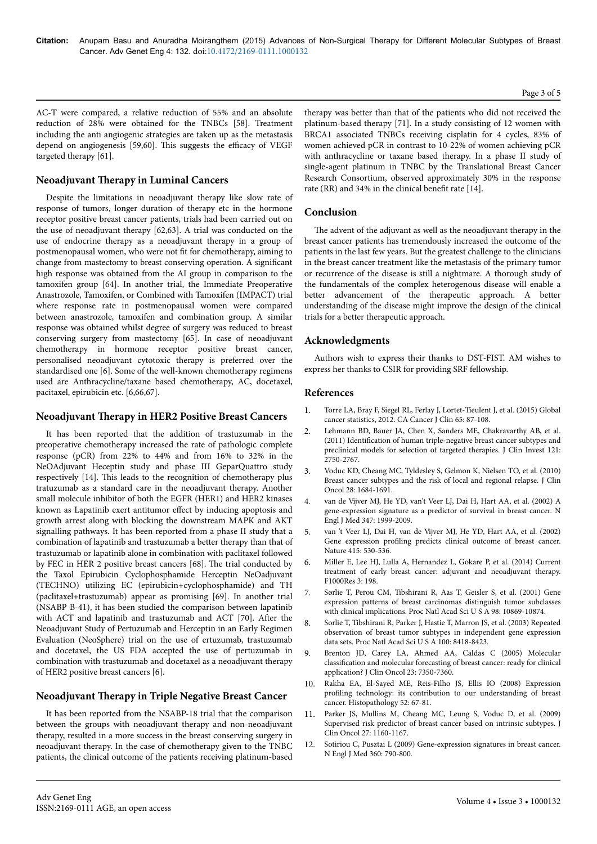AC-T were compared, a relative reduction of 55% and an absolute reduction of 28% were obtained for the TNBCs [58]. Treatment including the anti angiogenic strategies are taken up as the metastasis depend on angiogenesis [59,60]. This suggests the efficacy of VEGF targeted therapy [61].

# **Neoadjuvant Therapy in Luminal Cancers**

Despite the limitations in neoadjuvant therapy like slow rate of response of tumors, longer duration of therapy etc in the hormone receptor positive breast cancer patients, trials had been carried out on the use of neoadjuvant therapy [62,63]. A trial was conducted on the use of endocrine therapy as a neoadjuvant therapy in a group of postmenopausal women, who were not fit for chemotherapy, aiming to change from mastectomy to breast conserving operation. A significant high response was obtained from the AI group in comparison to the tamoxifen group [64]. In another trial, the Immediate Preoperative Anastrozole, Tamoxifen, or Combined with Tamoxifen (IMPACT) trial where response rate in postmenopausal women were compared between anastrozole, tamoxifen and combination group. A similar response was obtained whilst degree of surgery was reduced to breast conserving surgery from mastectomy [65]. In case of neoadjuvant chemotherapy in hormone receptor positive breast cancer, personalised neoadjuvant cytotoxic therapy is preferred over the standardised one [6]. Some of the well-known chemotherapy regimens used are Anthracycline/taxane based chemotherapy, AC, docetaxel, pacitaxel, epirubicin etc. [6,66,67].

# **Neoadjuvant Therapy in HER2 Positive Breast Cancers**

It has been reported that the addition of trastuzumab in the preoperative chemotherapy increased the rate of pathologic complete response (pCR) from 22% to 44% and from 16% to 32% in the NeOAdjuvant Heceptin study and phase III GeparQuattro study respectively [14]. Нis leads to the recognition of chemotherapy plus tratuzumab as a standard care in the neoadjuvant therapy. Another small molecule inhibitor of both the EGFR (HER1) and HER2 kinases known as Lapatinib exert antitumor effect by inducing apoptosis and growth arrest along with blocking the downstream MAPK and AKT signalling pathways. It has been reported from a phase II study that a combination of lapatinib and trastuzumab a better therapy than that of trastuzumab or lapatinib alone in combination with paclitaxel followed by FEC in HER 2 positive breast cancers [68]. Нe trial conducted by the Taxol Epirubicin Cyclophosphamide Herceptin NeOadjuvant (TECHNO) utilizing EC (epirubicin+cyclophosphamide) and TH (paclitaxel+trastuzumab) appear as promising [69]. In another trial (NSABP B-41), it has been studied the comparison between lapatinib with ACT and lapatinib and trastuzumab and ACT [70]. After the Neoadjuvant Study of Pertuzumab and Herceptin in an Early Regimen Evaluation (NeoSphere) trial on the use of ertuzumab, trastuzumab and docetaxel, the US FDA accepted the use of pertuzumab in combination with trastuzumab and docetaxel as a neoadjuvant therapy of HER2 positive breast cancers [6].

# **Neoadjuvant Therapy in Triple Negative Breast Cancer**

It has been reported from the NSABP-18 trial that the comparison between the groups with neoadjuvant therapy and non-neoadjuvant therapy, resulted in a more success in the breast conserving surgery in neoadjuvant therapy. In the case of chemotherapy given to the TNBC patients, the clinical outcome of the patients receiving platinum-based

therapy was better than that of the patients who did not received the platinum-based therapy [71]. In a study consisting of 12 women with BRCA1 associated TNBCs receiving cisplatin for 4 cycles, 83% of women achieved pCR in contrast to 10-22% of women achieving pCR with anthracycline or taxane based therapy. In a phase II study of single-agent platinum in TNBC by the Translational Breast Cancer Research Consortium, observed approximately 30% in the response rate (RR) and 34% in the clinical benefit rate [14].

#### **Conclusion**

The advent of the adjuvant as well as the neoadjuvant therapy in the breast cancer patients has tremendously increased the outcome of the patients in the last few years. But the greatest challenge to the clinicians in the breast cancer treatment like the metastasis of the primary tumor or recurrence of the disease is still a nightmare. A thorough study of the fundamentals of the complex heterogenous disease will enable a better advancement of the therapeutic approach. A better understanding of the disease might improve the design of the clinical trials for a better therapeutic approach.

# **Acknowledgments**

Authors wish to express their thanks to DST-FIST. AM wishes to express her thanks to CSIR for providing SRF fellowship.

#### **References**

- 1. [Torre LA, Bray F, Siegel RL, Ferlay J, Lortet-Tieulent J, et al. \(2015\) Global](http://www.ncbi.nlm.nih.gov/pubmed/25651787) [cancer statistics, 2012. CA Cancer J Clin 65: 87-108.](http://www.ncbi.nlm.nih.gov/pubmed/25651787)
- 2. [Lehmann BD, Bauer JA, Chen X, Sanders ME, Chakravarthy AB, et al.](http://www.ncbi.nlm.nih.gov/pubmed/21633166) (2011) Identification [of human triple-negative breast cancer subtypes and](http://www.ncbi.nlm.nih.gov/pubmed/21633166) [preclinical models for selection of targeted therapies. J Clin Invest 121:](http://www.ncbi.nlm.nih.gov/pubmed/21633166) [2750-2767.](http://www.ncbi.nlm.nih.gov/pubmed/21633166)
- 3. [Voduc KD, Cheang MC, Tyldesley S, Gelmon K, Nielsen TO, et al. \(2010\)](http://www.ncbi.nlm.nih.gov/pubmed/20194857) [Breast cancer subtypes and the risk of local and regional relapse. J Clin](http://www.ncbi.nlm.nih.gov/pubmed/20194857) [Oncol 28: 1684-1691.](http://www.ncbi.nlm.nih.gov/pubmed/20194857)
- 4. [van de Vijver MJ, He YD, van't Veer LJ, Dai H, Hart AA, et al. \(2002\) A](http://www.ncbi.nlm.nih.gov/pubmed/12490681) [gene-expression signature as a predictor of survival in breast cancer. N](http://www.ncbi.nlm.nih.gov/pubmed/12490681) [Engl J Med 347: 1999-2009.](http://www.ncbi.nlm.nih.gov/pubmed/12490681)
- 5. [van 't Veer LJ, Dai H, van de Vijver MJ, He YD, Hart AA, et al. \(2002\)](http://www.ncbi.nlm.nih.gov/pubmed/11823860) Gene expression profiling [predicts clinical outcome of breast cancer.](http://www.ncbi.nlm.nih.gov/pubmed/11823860) [Nature 415: 530-536.](http://www.ncbi.nlm.nih.gov/pubmed/11823860)
- 6. [Miller E, Lee HJ, Lulla A, Hernandez L, Gokare P, et al. \(2014\) Current](http://www.ncbi.nlm.nih.gov/pubmed/25400908) [treatment of early breast cancer: adjuvant and neoadjuvant therapy.](http://www.ncbi.nlm.nih.gov/pubmed/25400908) [F1000Res 3: 198.](http://www.ncbi.nlm.nih.gov/pubmed/25400908)
- 7. [Sørlie T, Perou CM, Tibshirani R, Aas T, Geisler S, et al. \(2001\) Gene](http://www.ncbi.nlm.nih.gov/pubmed/11553815) [expression patterns of breast carcinomas distinguish tumor subclasses](http://www.ncbi.nlm.nih.gov/pubmed/11553815) [with clinical implications. Proc Natl Acad Sci U S A 98: 10869-10874.](http://www.ncbi.nlm.nih.gov/pubmed/11553815)
- 8. [Sorlie T, Tibshirani R, Parker J, Hastie T, Marron JS, et al. \(2003\) Repeated](http://www.ncbi.nlm.nih.gov/pubmed/12829800) [observation of breast tumor subtypes in independent gene expression](http://www.ncbi.nlm.nih.gov/pubmed/12829800) [data sets. Proc Natl Acad Sci U S A 100: 8418-8423.](http://www.ncbi.nlm.nih.gov/pubmed/12829800)
- 9. [Brenton JD, Carey LA, Ahmed AA, Caldas C \(2005\) Molecular](http://www.ncbi.nlm.nih.gov/pubmed/16145060) classification [and molecular forecasting of breast cancer: ready for clinical](http://www.ncbi.nlm.nih.gov/pubmed/16145060) [application? J Clin Oncol 23: 7350-7360.](http://www.ncbi.nlm.nih.gov/pubmed/16145060)
- 10. [Rakha EA, El-Sayed ME, Reis-Filho JS, Ellis IO \(2008\) Expression](http://www.ncbi.nlm.nih.gov/pubmed/18171418) profiling [technology: its contribution to our understanding of breast](http://www.ncbi.nlm.nih.gov/pubmed/18171418) [cancer. Histopathology 52: 67-81.](http://www.ncbi.nlm.nih.gov/pubmed/18171418)
- 11. [Parker JS, Mullins M, Cheang MC, Leung S, Voduc D, et al. \(2009\)](http://www.ncbi.nlm.nih.gov/pubmed/19204204) [Supervised risk predictor of breast cancer based on intrinsic subtypes. J](http://www.ncbi.nlm.nih.gov/pubmed/19204204) [Clin Oncol 27: 1160-1167.](http://www.ncbi.nlm.nih.gov/pubmed/19204204)
- 12. [Sotiriou C, Pusztai L \(2009\) Gene-expression signatures in breast cancer.](http://www.ncbi.nlm.nih.gov/pubmed/19228622) [N Engl J Med 360: 790-800.](http://www.ncbi.nlm.nih.gov/pubmed/19228622)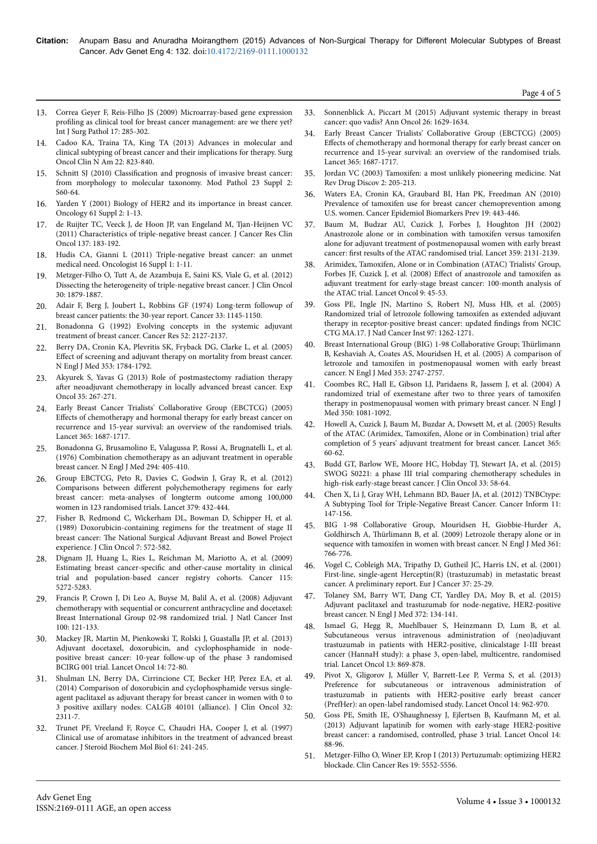- 13. [Correa Geyer F, Reis-Filho JS \(2009\) Microarray-based gene expression](https://www.google.co.in/url?sa=t&rct=j&q=&esrc=s&source=web&cd=1&cad=rja&uact=8&ved=0ahUKEwjE_6vNm6HJAhUFHaYKHZiYCl4QFgggMAA&url=http%3A%2F%2Fwww.ncbi.nlm.nih.gov%2Fpubmed%2F19103611&usg=AFQjCNFPLfPMKO6k9csjwuWhqc26dDvINQ) profiling [as clinical tool for breast cancer management: are we there yet?](https://www.google.co.in/url?sa=t&rct=j&q=&esrc=s&source=web&cd=1&cad=rja&uact=8&ved=0ahUKEwjE_6vNm6HJAhUFHaYKHZiYCl4QFgggMAA&url=http%3A%2F%2Fwww.ncbi.nlm.nih.gov%2Fpubmed%2F19103611&usg=AFQjCNFPLfPMKO6k9csjwuWhqc26dDvINQ) [Int J Surg Pathol 17: 285-302.](https://www.google.co.in/url?sa=t&rct=j&q=&esrc=s&source=web&cd=1&cad=rja&uact=8&ved=0ahUKEwjE_6vNm6HJAhUFHaYKHZiYCl4QFgggMAA&url=http%3A%2F%2Fwww.ncbi.nlm.nih.gov%2Fpubmed%2F19103611&usg=AFQjCNFPLfPMKO6k9csjwuWhqc26dDvINQ)
- 14. [Cadoo KA, Traina TA, King TA \(2013\) Advances in molecular and](http://www.ncbi.nlm.nih.gov/pubmed/24012401) [clinical subtyping of breast cancer and their implications for therapy. Surg](http://www.ncbi.nlm.nih.gov/pubmed/24012401) [Oncol Clin N Am 22: 823-840.](http://www.ncbi.nlm.nih.gov/pubmed/24012401)
- 15. Schnitt SJ (2010) Classification [and prognosis of invasive breast cancer:](http://www.ncbi.nlm.nih.gov/pubmed/20436504) [from morphology to molecular taxonomy. Mod Pathol 23 Suppl 2:](http://www.ncbi.nlm.nih.gov/pubmed/20436504) [S60-64.](http://www.ncbi.nlm.nih.gov/pubmed/20436504)
- 16. [Yarden Y \(2001\) Biology of HER2 and its importance in breast cancer.](http://www.ncbi.nlm.nih.gov/pubmed/11694782) [Oncology 61 Suppl 2: 1-13.](http://www.ncbi.nlm.nih.gov/pubmed/11694782)
- 17. [de Ruijter TC, Veeck J, de Hoon JP, van Engeland M, Tjan-Heijnen VC](http://www.ncbi.nlm.nih.gov/pubmed/21069385) [\(2011\) Characteristics of triple-negative breast cancer. J Cancer Res Clin](http://www.ncbi.nlm.nih.gov/pubmed/21069385) [Oncol 137: 183-192.](http://www.ncbi.nlm.nih.gov/pubmed/21069385)
- 18. [Hudis CA, Gianni L \(2011\) Triple-negative breast cancer: an unmet](http://www.ncbi.nlm.nih.gov/pubmed/21278435) [medical need. Oncologist 16 Suppl 1: 1-11.](http://www.ncbi.nlm.nih.gov/pubmed/21278435)
- 19. [Metzger-Filho O, Tutt A, de Azambuja E, Saini KS, Viale G, et al. \(2012\)](http://www.ncbi.nlm.nih.gov/pubmed/22454417) [Dissecting the heterogeneity of triple-negative breast cancer. J Clin Oncol](http://www.ncbi.nlm.nih.gov/pubmed/22454417) [30: 1879-1887.](http://www.ncbi.nlm.nih.gov/pubmed/22454417)
- 20. [Adair F, Berg J, Joubert L, Robbins GF \(1974\) Long-term followup of](http://www.ncbi.nlm.nih.gov/pubmed/4819216) [breast cancer patients: the 30-year report. Cancer 33: 1145-1150.](http://www.ncbi.nlm.nih.gov/pubmed/4819216)
- 21. [Bonadonna G \(1992\) Evolving concepts in the systemic adjuvant](http://www.ncbi.nlm.nih.gov/pubmed/1559216) [treatment of breast cancer. Cancer Res 52: 2127-2137.](http://www.ncbi.nlm.nih.gov/pubmed/1559216)
- 22. [Berry DA, Cronin KA, Plevritis SK, Fryback DG, Clarke L, et al. \(2005\)](http://www.ncbi.nlm.nih.gov/pubmed/16251534) Effect [of screening and adjuvant therapy on mortality from breast cancer.](http://www.ncbi.nlm.nih.gov/pubmed/16251534) [N Engl J Med 353: 1784-1792.](http://www.ncbi.nlm.nih.gov/pubmed/16251534)
- 23. [Akyurek S, Yavas G \(2013\) Role of postmastectomy radiation therapy](http://www.ncbi.nlm.nih.gov/pubmed/24382436) after [neoadjuvant chemotherapy in locally advanced breast cancer. Exp](http://www.ncbi.nlm.nih.gov/pubmed/24382436) [Oncol 35: 267-271.](http://www.ncbi.nlm.nih.gov/pubmed/24382436)
- 24. [Early Breast Cancer Trialists' Collaborative Group \(EBCTCG\) \(2005\)](http://www.ncbi.nlm.nih.gov/pubmed/15894097) Effects [of chemotherapy and hormonal therapy for early breast cancer on](http://www.ncbi.nlm.nih.gov/pubmed/15894097) [recurrence and 15-year survival: an overview of the randomised trials.](http://www.ncbi.nlm.nih.gov/pubmed/15894097) [Lancet 365: 1687-1717.](http://www.ncbi.nlm.nih.gov/pubmed/15894097)
- 25. [Bonadonna G, Brusamolino E, Valagussa P, Rossi A, Brugnatelli L, et al.](http://www.ncbi.nlm.nih.gov/pubmed/1246307) [\(1976\) Combination chemotherapy as an adjuvant treatment in operable](http://www.ncbi.nlm.nih.gov/pubmed/1246307) [breast cancer. N Engl J Med 294: 405-410.](http://www.ncbi.nlm.nih.gov/pubmed/1246307)
- 26. [Group EBCTCG, Peto R, Davies C, Godwin J, Gray R, et al. \(2012\)](https://www.google.co.in/url?sa=t&rct=j&q=&esrc=s&source=web&cd=1&cad=rja&uact=8&ved=0ahUKEwjTg9Trm6HJAhXGGqYKHYioDmoQFggfMAA&url=http%3A%2F%2Fwww.ncbi.nlm.nih.gov%2Fpubmed%2F22152853&usg=AFQjCNH59DrSexbJcjqKHqFCC4e8wpGxCg) Comparisons between different [polychemotherapy regimens for early](https://www.google.co.in/url?sa=t&rct=j&q=&esrc=s&source=web&cd=1&cad=rja&uact=8&ved=0ahUKEwjTg9Trm6HJAhXGGqYKHYioDmoQFggfMAA&url=http%3A%2F%2Fwww.ncbi.nlm.nih.gov%2Fpubmed%2F22152853&usg=AFQjCNH59DrSexbJcjqKHqFCC4e8wpGxCg) [breast cancer: meta-analyses of longterm outcome among 100,000](https://www.google.co.in/url?sa=t&rct=j&q=&esrc=s&source=web&cd=1&cad=rja&uact=8&ved=0ahUKEwjTg9Trm6HJAhXGGqYKHYioDmoQFggfMAA&url=http%3A%2F%2Fwww.ncbi.nlm.nih.gov%2Fpubmed%2F22152853&usg=AFQjCNH59DrSexbJcjqKHqFCC4e8wpGxCg) [women in 123 randomised trials. Lancet 379: 432-444.](https://www.google.co.in/url?sa=t&rct=j&q=&esrc=s&source=web&cd=1&cad=rja&uact=8&ved=0ahUKEwjTg9Trm6HJAhXGGqYKHYioDmoQFggfMAA&url=http%3A%2F%2Fwww.ncbi.nlm.nih.gov%2Fpubmed%2F22152853&usg=AFQjCNH59DrSexbJcjqKHqFCC4e8wpGxCg)
- 27. [Fisher B, Redmond C, Wickerham DL, Bowman D, Schipper H, et al.](https://www.google.co.in/url?sa=t&rct=j&q=&esrc=s&source=web&cd=1&cad=rja&uact=8&ved=0ahUKEwjHlIz4m6HJAhWB2aYKHXBuCEAQFggcMAA&url=http%3A%2F%2Fwww.ncbi.nlm.nih.gov%2Fpubmed%2F2651576&usg=AFQjCNFb9QPTdJLA9C0H_jxFPUctgk9PwA&bvm=bv.108194040,d.dGY) [\(1989\) Doxorubicin-containing regimens for the treatment of stage II](https://www.google.co.in/url?sa=t&rct=j&q=&esrc=s&source=web&cd=1&cad=rja&uact=8&ved=0ahUKEwjHlIz4m6HJAhWB2aYKHXBuCEAQFggcMAA&url=http%3A%2F%2Fwww.ncbi.nlm.nih.gov%2Fpubmed%2F2651576&usg=AFQjCNFb9QPTdJLA9C0H_jxFPUctgk9PwA&bvm=bv.108194040,d.dGY) breast cancer: Нe [National Surgical Adjuvant Breast and Bowel Project](https://www.google.co.in/url?sa=t&rct=j&q=&esrc=s&source=web&cd=1&cad=rja&uact=8&ved=0ahUKEwjHlIz4m6HJAhWB2aYKHXBuCEAQFggcMAA&url=http%3A%2F%2Fwww.ncbi.nlm.nih.gov%2Fpubmed%2F2651576&usg=AFQjCNFb9QPTdJLA9C0H_jxFPUctgk9PwA&bvm=bv.108194040,d.dGY) [experience. J Clin Oncol 7: 572-582.](https://www.google.co.in/url?sa=t&rct=j&q=&esrc=s&source=web&cd=1&cad=rja&uact=8&ved=0ahUKEwjHlIz4m6HJAhWB2aYKHXBuCEAQFggcMAA&url=http%3A%2F%2Fwww.ncbi.nlm.nih.gov%2Fpubmed%2F2651576&usg=AFQjCNFb9QPTdJLA9C0H_jxFPUctgk9PwA&bvm=bv.108194040,d.dGY)
- 28. [Dignam JJ, Huang L, Ries L, Reichman M, Mariotto A, et al. \(2009\)](http://www.ncbi.nlm.nih.gov/pubmed/19670456) Estimating breast cancer-specific [and other-cause mortality in clinical](http://www.ncbi.nlm.nih.gov/pubmed/19670456) [trial and population-based cancer registry cohorts. Cancer 115:](http://www.ncbi.nlm.nih.gov/pubmed/19670456) [5272-5283.](http://www.ncbi.nlm.nih.gov/pubmed/19670456)
- 29. [Francis P, Crown J, Di Leo A, Buyse M, Balil A, et al. \(2008\) Adjuvant](http://www.ncbi.nlm.nih.gov/pubmed/18182617) [chemotherapy with sequential or concurrent anthracycline and docetaxel:](http://www.ncbi.nlm.nih.gov/pubmed/18182617) [Breast International Group 02-98 randomized trial. J Natl Cancer Inst](http://www.ncbi.nlm.nih.gov/pubmed/18182617) [100: 121-133.](http://www.ncbi.nlm.nih.gov/pubmed/18182617)
- 30. [Mackey JR, Martin M, Pienkowski T, Rolski J, Guastalla JP, et al. \(2013\)](https://www.google.co.in/url?sa=t&rct=j&q=&esrc=s&source=web&cd=1&cad=rja&uact=8&ved=0ahUKEwiJyLGDnKHJAhUkJaYKHeBXBagQFggcMAA&url=http%3A%2F%2Fwww.ncbi.nlm.nih.gov%2Fpubmed%2F23246022&usg=AFQjCNHyx2dEziu7_TD3LymOZndNWKJDvg&bvm=bv.108194040,d.dGY) [Adjuvant docetaxel, doxorubicin, and cyclophosphamide in node](https://www.google.co.in/url?sa=t&rct=j&q=&esrc=s&source=web&cd=1&cad=rja&uact=8&ved=0ahUKEwiJyLGDnKHJAhUkJaYKHeBXBagQFggcMAA&url=http%3A%2F%2Fwww.ncbi.nlm.nih.gov%2Fpubmed%2F23246022&usg=AFQjCNHyx2dEziu7_TD3LymOZndNWKJDvg&bvm=bv.108194040,d.dGY)[positive breast cancer: 10-year follow-up of the phase 3 randomised](https://www.google.co.in/url?sa=t&rct=j&q=&esrc=s&source=web&cd=1&cad=rja&uact=8&ved=0ahUKEwiJyLGDnKHJAhUkJaYKHeBXBagQFggcMAA&url=http%3A%2F%2Fwww.ncbi.nlm.nih.gov%2Fpubmed%2F23246022&usg=AFQjCNHyx2dEziu7_TD3LymOZndNWKJDvg&bvm=bv.108194040,d.dGY) [BCIRG 001 trial. Lancet Oncol 14: 72-80.](https://www.google.co.in/url?sa=t&rct=j&q=&esrc=s&source=web&cd=1&cad=rja&uact=8&ved=0ahUKEwiJyLGDnKHJAhUkJaYKHeBXBagQFggcMAA&url=http%3A%2F%2Fwww.ncbi.nlm.nih.gov%2Fpubmed%2F23246022&usg=AFQjCNHyx2dEziu7_TD3LymOZndNWKJDvg&bvm=bv.108194040,d.dGY)
- 31. [Shulman LN, Berry DA, Cirrincione CT, Becker HP, Perez EA, et al.](https://www.google.co.in/url?sa=t&rct=j&q=&esrc=s&source=web&cd=1&cad=rja&uact=8&ved=0ahUKEwi33L-MnKHJAhUmLKYKHaPrDsoQFggcMAA&url=http%3A%2F%2Fwww.ncbi.nlm.nih.gov%2Fpubmed%2F24934787&usg=AFQjCNFyb_06b4AwO0zkV-AC28KNqVcDSQ&bvm=bv.108194040,d.dGY) [\(2014\) Comparison of doxorubicin and cyclophosphamide versus single](https://www.google.co.in/url?sa=t&rct=j&q=&esrc=s&source=web&cd=1&cad=rja&uact=8&ved=0ahUKEwi33L-MnKHJAhUmLKYKHaPrDsoQFggcMAA&url=http%3A%2F%2Fwww.ncbi.nlm.nih.gov%2Fpubmed%2F24934787&usg=AFQjCNFyb_06b4AwO0zkV-AC28KNqVcDSQ&bvm=bv.108194040,d.dGY)[agent paclitaxel as adjuvant therapy for breast cancer in women with 0 to](https://www.google.co.in/url?sa=t&rct=j&q=&esrc=s&source=web&cd=1&cad=rja&uact=8&ved=0ahUKEwi33L-MnKHJAhUmLKYKHaPrDsoQFggcMAA&url=http%3A%2F%2Fwww.ncbi.nlm.nih.gov%2Fpubmed%2F24934787&usg=AFQjCNFyb_06b4AwO0zkV-AC28KNqVcDSQ&bvm=bv.108194040,d.dGY) [3 positive axillary nodes: CALGB 40101 \(alliance\). J Clin Oncol 32:](https://www.google.co.in/url?sa=t&rct=j&q=&esrc=s&source=web&cd=1&cad=rja&uact=8&ved=0ahUKEwi33L-MnKHJAhUmLKYKHaPrDsoQFggcMAA&url=http%3A%2F%2Fwww.ncbi.nlm.nih.gov%2Fpubmed%2F24934787&usg=AFQjCNFyb_06b4AwO0zkV-AC28KNqVcDSQ&bvm=bv.108194040,d.dGY) [2311-7.](https://www.google.co.in/url?sa=t&rct=j&q=&esrc=s&source=web&cd=1&cad=rja&uact=8&ved=0ahUKEwi33L-MnKHJAhUmLKYKHaPrDsoQFggcMAA&url=http%3A%2F%2Fwww.ncbi.nlm.nih.gov%2Fpubmed%2F24934787&usg=AFQjCNFyb_06b4AwO0zkV-AC28KNqVcDSQ&bvm=bv.108194040,d.dGY)
- 32. [Trunet PF, Vreeland F, Royce C, Chaudri HA, Cooper J, et al. \(1997\)](http://www.ncbi.nlm.nih.gov/pubmed/9365196) [Clinical use of aromatase inhibitors in the treatment of advanced breast](http://www.ncbi.nlm.nih.gov/pubmed/9365196) [cancer. J Steroid Biochem Mol Biol 61: 241-245.](http://www.ncbi.nlm.nih.gov/pubmed/9365196)
- 33. [Sonnenblick A, Piccart M \(2015\) Adjuvant systemic therapy in breast](http://www.ncbi.nlm.nih.gov/pubmed/25712461) [cancer: quo vadis? Ann Oncol 26: 1629-1634.](http://www.ncbi.nlm.nih.gov/pubmed/25712461)
- 34. [Early Breast Cancer Trialists' Collaborative Group \(EBCTCG\) \(2005\)](http://www.ncbi.nlm.nih.gov/pubmed/15894097) Effects [of chemotherapy and hormonal therapy for early breast cancer on](http://www.ncbi.nlm.nih.gov/pubmed/15894097) [recurrence and 15-year survival: an overview of the randomised trials.](http://www.ncbi.nlm.nih.gov/pubmed/15894097) [Lancet 365: 1687-1717.](http://www.ncbi.nlm.nih.gov/pubmed/15894097)
- 35. [Jordan VC \(2003\) Tamoxifen: a most unlikely pioneering medicine. Nat](http://www.ncbi.nlm.nih.gov/pubmed/12612646) [Rev Drug Discov 2: 205-213.](http://www.ncbi.nlm.nih.gov/pubmed/12612646)
- 36. [Waters EA, Cronin KA, Graubard BI, Han PK, Freedman AN \(2010\)](http://www.ncbi.nlm.nih.gov/pubmed/20142242) [Prevalence of tamoxifen use for breast cancer chemoprevention among](http://www.ncbi.nlm.nih.gov/pubmed/20142242) [U.S. women. Cancer Epidemiol Biomarkers Prev 19: 443-446.](http://www.ncbi.nlm.nih.gov/pubmed/20142242)
- 37. [Baum M, Budzar AU, Cuzick J, Forbes J, Houghton JH \(2002\)](https://www.google.co.in/url?sa=t&rct=j&q=&esrc=s&source=web&cd=1&cad=rja&uact=8&ved=0ahUKEwjvzIWonKHJAhVCx6YKHUT8CiAQFggcMAA&url=http%3A%2F%2Fwww.ncbi.nlm.nih.gov%2Fpubmed%2F12090977&usg=AFQjCNHV-VS-N7KP6Dw-DV7DpS66MKmb4Q&bvm=bv.108194040,d.dGY) [Anastrozole alone or in combination with tamoxifen versus tamoxifen](https://www.google.co.in/url?sa=t&rct=j&q=&esrc=s&source=web&cd=1&cad=rja&uact=8&ved=0ahUKEwjvzIWonKHJAhVCx6YKHUT8CiAQFggcMAA&url=http%3A%2F%2Fwww.ncbi.nlm.nih.gov%2Fpubmed%2F12090977&usg=AFQjCNHV-VS-N7KP6Dw-DV7DpS66MKmb4Q&bvm=bv.108194040,d.dGY) [alone for adjuvant treatment of postmenopausal women with early breast](https://www.google.co.in/url?sa=t&rct=j&q=&esrc=s&source=web&cd=1&cad=rja&uact=8&ved=0ahUKEwjvzIWonKHJAhVCx6YKHUT8CiAQFggcMAA&url=http%3A%2F%2Fwww.ncbi.nlm.nih.gov%2Fpubmed%2F12090977&usg=AFQjCNHV-VS-N7KP6Dw-DV7DpS66MKmb4Q&bvm=bv.108194040,d.dGY) cancer: first [results of the ATAC randomised trial. Lancet 359: 2131-2139.](https://www.google.co.in/url?sa=t&rct=j&q=&esrc=s&source=web&cd=1&cad=rja&uact=8&ved=0ahUKEwjvzIWonKHJAhVCx6YKHUT8CiAQFggcMAA&url=http%3A%2F%2Fwww.ncbi.nlm.nih.gov%2Fpubmed%2F12090977&usg=AFQjCNHV-VS-N7KP6Dw-DV7DpS66MKmb4Q&bvm=bv.108194040,d.dGY)
- 38. [Arimidex, Tamoxifen, Alone or in Combination \(ATAC\) Trialists' Group,](http://www.ncbi.nlm.nih.gov/pubmed/18083636) [Forbes JF, Cuzick J, et al. \(2008\)](http://www.ncbi.nlm.nih.gov/pubmed/18083636) Effect of anastrozole and tamoxifen as [adjuvant treatment for early-stage breast cancer: 100-month analysis of](http://www.ncbi.nlm.nih.gov/pubmed/18083636) [the ATAC trial. Lancet Oncol 9: 45-53.](http://www.ncbi.nlm.nih.gov/pubmed/18083636)
- 39. [Goss PE, Ingle JN, Martino S, Robert NJ, Muss HB, et al. \(2005\)](https://www.google.co.in/url?sa=t&rct=j&q=&esrc=s&source=web&cd=1&cad=rja&uact=8&ved=0ahUKEwii6eK4nKHJAhUh4qYKHVGKALMQFggcMAA&url=http%3A%2F%2Fwww.ncbi.nlm.nih.gov%2Fpubmed%2F16145047&usg=AFQjCNHLkHD9YoHKbWoNJyEfYXhgRBRHkw&bvm=bv.108194040,d.dGY) [Randomized trial of letrozole following tamoxifen as extended adjuvant](https://www.google.co.in/url?sa=t&rct=j&q=&esrc=s&source=web&cd=1&cad=rja&uact=8&ved=0ahUKEwii6eK4nKHJAhUh4qYKHVGKALMQFggcMAA&url=http%3A%2F%2Fwww.ncbi.nlm.nih.gov%2Fpubmed%2F16145047&usg=AFQjCNHLkHD9YoHKbWoNJyEfYXhgRBRHkw&bvm=bv.108194040,d.dGY) [therapy in receptor-positive breast cancer: updated](https://www.google.co.in/url?sa=t&rct=j&q=&esrc=s&source=web&cd=1&cad=rja&uact=8&ved=0ahUKEwii6eK4nKHJAhUh4qYKHVGKALMQFggcMAA&url=http%3A%2F%2Fwww.ncbi.nlm.nih.gov%2Fpubmed%2F16145047&usg=AFQjCNHLkHD9YoHKbWoNJyEfYXhgRBRHkw&bvm=bv.108194040,d.dGY) findings from NCIC [CTG MA.17. J Natl Cancer Inst 97: 1262-1271.](https://www.google.co.in/url?sa=t&rct=j&q=&esrc=s&source=web&cd=1&cad=rja&uact=8&ved=0ahUKEwii6eK4nKHJAhUh4qYKHVGKALMQFggcMAA&url=http%3A%2F%2Fwww.ncbi.nlm.nih.gov%2Fpubmed%2F16145047&usg=AFQjCNHLkHD9YoHKbWoNJyEfYXhgRBRHkw&bvm=bv.108194040,d.dGY)
- 40. [Breast International Group \(BIG\) 1-98 Collaborative Group;](https://www.google.co.in/url?sa=t&rct=j&q=&esrc=s&source=web&cd=1&cad=rja&uact=8&ved=0ahUKEwiFtqfInKHJAhXCGaYKHdY4AjUQFggfMAA&url=http%3A%2F%2Fwww.ncbi.nlm.nih.gov%2Fpubmed%2F16382061&usg=AFQjCNF9JWokzsXxnUBwAysXokTfpv56gg&bvm=bv.108194040,d.dGY) Thürlimann [B, Keshaviah A, Coates AS, Mouridsen H, et al. \(2005\) A comparison of](https://www.google.co.in/url?sa=t&rct=j&q=&esrc=s&source=web&cd=1&cad=rja&uact=8&ved=0ahUKEwiFtqfInKHJAhXCGaYKHdY4AjUQFggfMAA&url=http%3A%2F%2Fwww.ncbi.nlm.nih.gov%2Fpubmed%2F16382061&usg=AFQjCNF9JWokzsXxnUBwAysXokTfpv56gg&bvm=bv.108194040,d.dGY) [letrozole and tamoxifen in postmenopausal women with early breast](https://www.google.co.in/url?sa=t&rct=j&q=&esrc=s&source=web&cd=1&cad=rja&uact=8&ved=0ahUKEwiFtqfInKHJAhXCGaYKHdY4AjUQFggfMAA&url=http%3A%2F%2Fwww.ncbi.nlm.nih.gov%2Fpubmed%2F16382061&usg=AFQjCNF9JWokzsXxnUBwAysXokTfpv56gg&bvm=bv.108194040,d.dGY) [cancer. N Engl J Med 353: 2747-2757.](https://www.google.co.in/url?sa=t&rct=j&q=&esrc=s&source=web&cd=1&cad=rja&uact=8&ved=0ahUKEwiFtqfInKHJAhXCGaYKHdY4AjUQFggfMAA&url=http%3A%2F%2Fwww.ncbi.nlm.nih.gov%2Fpubmed%2F16382061&usg=AFQjCNF9JWokzsXxnUBwAysXokTfpv56gg&bvm=bv.108194040,d.dGY)
- 41. [Coombes RC, Hall E, Gibson LJ, Paridaens R, Jassem J, et al. \(2004\) A](http://www.ncbi.nlm.nih.gov/pubmed/15014181) randomized trial of exemestane after [two to three years of tamoxifen](http://www.ncbi.nlm.nih.gov/pubmed/15014181) [therapy in postmenopausal women with primary breast cancer. N Engl J](http://www.ncbi.nlm.nih.gov/pubmed/15014181) [Med 350: 1081-1092.](http://www.ncbi.nlm.nih.gov/pubmed/15014181)
- 42. [Howell A, Cuzick J, Baum M, Buzdar A, Dowsett M, et al. \(2005\) Results](http://www.ncbi.nlm.nih.gov/pubmed/15639680) [of the ATAC \(Arimidex, Tamoxifen, Alone or in Combination\) trial](http://www.ncbi.nlm.nih.gov/pubmed/15639680) after [completion of 5 years' adjuvant treatment for breast cancer. Lancet 365:](http://www.ncbi.nlm.nih.gov/pubmed/15639680) [60-62.](http://www.ncbi.nlm.nih.gov/pubmed/15639680)
- 43. [Budd GT, Barlow WE, Moore HC, Hobday TJ, Stewart JA, et al. \(2015\)](http://www.ncbi.nlm.nih.gov/pubmed/25422488) [SWOG S0221: a phase III trial comparing chemotherapy schedules in](http://www.ncbi.nlm.nih.gov/pubmed/25422488) [high-risk early-stage breast cancer. J Clin Oncol 33: 58-64.](http://www.ncbi.nlm.nih.gov/pubmed/25422488)
- 44. [Chen X, Li J, Gray WH, Lehmann BD, Bauer JA, et al. \(2012\) TNBCtype:](http://www.ncbi.nlm.nih.gov/pubmed/22872785) [A Subtyping Tool for Triple-Negative Breast Cancer. Cancer Inform 11:](http://www.ncbi.nlm.nih.gov/pubmed/22872785) [147-156.](http://www.ncbi.nlm.nih.gov/pubmed/22872785)
- 45. [BIG 1-98 Collaborative Group, Mouridsen H, Giobbie-Hurder A,](http://www.ncbi.nlm.nih.gov/pubmed/19692688) Goldhirsch A, Thürlimann [B, et al. \(2009\) Letrozole therapy alone or in](http://www.ncbi.nlm.nih.gov/pubmed/19692688) [sequence with tamoxifen in women with breast cancer. N Engl J Med 361:](http://www.ncbi.nlm.nih.gov/pubmed/19692688) [766-776.](http://www.ncbi.nlm.nih.gov/pubmed/19692688)
- 46. [Vogel C, Cobleigh MA, Tripathy D, Gutheil JC, Harris LN, et al. \(2001\)](https://www.google.co.in/url?sa=t&rct=j&q=&esrc=s&source=web&cd=1&cad=rja&uact=8&ved=0ahUKEwi6v57vnKHJAhUkOKYKHc5FCIoQFgghMAA&url=http%3A%2F%2Fwww.ncbi.nlm.nih.gov%2Fpubmed%2F11342197&usg=AFQjCNHL7uhJIEay6J5Z0e7Ylk3Q-M2nZg&bvm=bv.108194040,d.dGY) [First-line, single-agent Herceptin\(R\) \(trastuzumab\) in metastatic breast](https://www.google.co.in/url?sa=t&rct=j&q=&esrc=s&source=web&cd=1&cad=rja&uact=8&ved=0ahUKEwi6v57vnKHJAhUkOKYKHc5FCIoQFgghMAA&url=http%3A%2F%2Fwww.ncbi.nlm.nih.gov%2Fpubmed%2F11342197&usg=AFQjCNHL7uhJIEay6J5Z0e7Ylk3Q-M2nZg&bvm=bv.108194040,d.dGY) [cancer. A preliminary report. Eur J Cancer 37: 25-29.](https://www.google.co.in/url?sa=t&rct=j&q=&esrc=s&source=web&cd=1&cad=rja&uact=8&ved=0ahUKEwi6v57vnKHJAhUkOKYKHc5FCIoQFgghMAA&url=http%3A%2F%2Fwww.ncbi.nlm.nih.gov%2Fpubmed%2F11342197&usg=AFQjCNHL7uhJIEay6J5Z0e7Ylk3Q-M2nZg&bvm=bv.108194040,d.dGY)
- 47. [Tolaney SM, Barry WT, Dang CT, Yardley DA, Moy B, et al. \(2015\)](http://www.ncbi.nlm.nih.gov/pubmed/25564897) [Adjuvant paclitaxel and trastuzumab for node-negative, HER2-positive](http://www.ncbi.nlm.nih.gov/pubmed/25564897) [breast cancer. N Engl J Med 372: 134-141.](http://www.ncbi.nlm.nih.gov/pubmed/25564897)
- 48. [Ismael G, Hegg R, Muehlbauer S, Heinzmann D, Lum B, et al.](https://www.google.co.in/url?sa=t&rct=j&q=&esrc=s&source=web&cd=1&cad=rja&uact=8&ved=0ahUKEwiYis_KnaHJAhUIFqYKHXZeDAoQFgglMAA&url=http%3A%2F%2Fwww.ncbi.nlm.nih.gov%2Fpubmed%2F22884505&usg=AFQjCNF_NAUP4r3sGDiPHe2qnSPWB9pvlw) [Subcutaneous versus intravenous administration of \(neo\)adjuvant](https://www.google.co.in/url?sa=t&rct=j&q=&esrc=s&source=web&cd=1&cad=rja&uact=8&ved=0ahUKEwiYis_KnaHJAhUIFqYKHXZeDAoQFgglMAA&url=http%3A%2F%2Fwww.ncbi.nlm.nih.gov%2Fpubmed%2F22884505&usg=AFQjCNF_NAUP4r3sGDiPHe2qnSPWB9pvlw) [trastuzumab in patients with HER2-positive, clinicalstage I-III breast](https://www.google.co.in/url?sa=t&rct=j&q=&esrc=s&source=web&cd=1&cad=rja&uact=8&ved=0ahUKEwiYis_KnaHJAhUIFqYKHXZeDAoQFgglMAA&url=http%3A%2F%2Fwww.ncbi.nlm.nih.gov%2Fpubmed%2F22884505&usg=AFQjCNF_NAUP4r3sGDiPHe2qnSPWB9pvlw) [cancer \(HannaH study\): a phase 3, open-label, multicentre, randomised](https://www.google.co.in/url?sa=t&rct=j&q=&esrc=s&source=web&cd=1&cad=rja&uact=8&ved=0ahUKEwiYis_KnaHJAhUIFqYKHXZeDAoQFgglMAA&url=http%3A%2F%2Fwww.ncbi.nlm.nih.gov%2Fpubmed%2F22884505&usg=AFQjCNF_NAUP4r3sGDiPHe2qnSPWB9pvlw) [trial. Lancet Oncol 13: 869-878.](https://www.google.co.in/url?sa=t&rct=j&q=&esrc=s&source=web&cd=1&cad=rja&uact=8&ved=0ahUKEwiYis_KnaHJAhUIFqYKHXZeDAoQFgglMAA&url=http%3A%2F%2Fwww.ncbi.nlm.nih.gov%2Fpubmed%2F22884505&usg=AFQjCNF_NAUP4r3sGDiPHe2qnSPWB9pvlw)
- 49. [Pivot X, Gligorov J, Müller V, Barrett-Lee P, Verma S, et al. \(2013\)](http://www.ncbi.nlm.nih.gov/pubmed/23965225) [Preference for subcutaneous or intravenous administration of](http://www.ncbi.nlm.nih.gov/pubmed/23965225) [trastuzumab in patients with HER2-positive early breast cancer](http://www.ncbi.nlm.nih.gov/pubmed/23965225) [\(PrefHer\): an open-label randomised study. Lancet Oncol 14: 962-970.](http://www.ncbi.nlm.nih.gov/pubmed/23965225)
- 50. [Goss PE, Smith IE, O'Shaughnessy J, Ejlertsen B, Kaufmann M, et al.](http://www.ncbi.nlm.nih.gov/pubmed/23234763) [\(2013\) Adjuvant lapatinib for women with early-stage HER2-positive](http://www.ncbi.nlm.nih.gov/pubmed/23234763) [breast cancer: a randomised, controlled, phase 3 trial. Lancet Oncol 14:](http://www.ncbi.nlm.nih.gov/pubmed/23234763) [88-96.](http://www.ncbi.nlm.nih.gov/pubmed/23234763)
- 51. [Metzger-Filho O, Winer EP, Krop I \(2013\) Pertuzumab: optimizing HER2](http://www.ncbi.nlm.nih.gov/pubmed/23942091) [blockade. Clin Cancer Res 19: 5552-5556.](http://www.ncbi.nlm.nih.gov/pubmed/23942091)